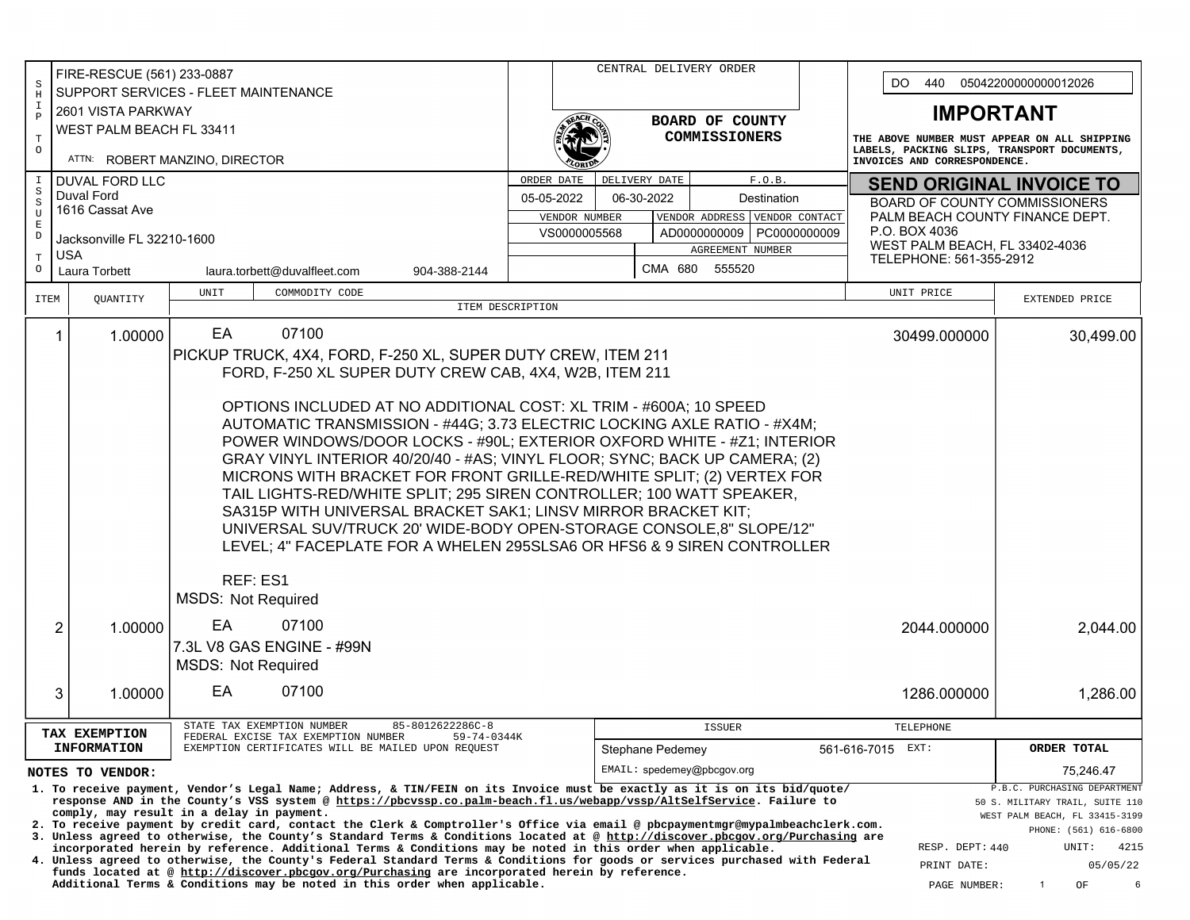|                        |                                      |         |                                           |                                                                                                                                                                                                                                                   | CENTRAL DELIVERY ORDER<br>FIRE-RESCUE (561) 233-0887 |                                                                                                                                                                                                                                             |                                                                                                                                                                                                                                                                  |                                                                                                  |                      |             |                              |                                                                                             |                                 |                                 |                                                                 |  |  |
|------------------------|--------------------------------------|---------|-------------------------------------------|---------------------------------------------------------------------------------------------------------------------------------------------------------------------------------------------------------------------------------------------------|------------------------------------------------------|---------------------------------------------------------------------------------------------------------------------------------------------------------------------------------------------------------------------------------------------|------------------------------------------------------------------------------------------------------------------------------------------------------------------------------------------------------------------------------------------------------------------|--------------------------------------------------------------------------------------------------|----------------------|-------------|------------------------------|---------------------------------------------------------------------------------------------|---------------------------------|---------------------------------|-----------------------------------------------------------------|--|--|
| S<br>$\rm H$           | SUPPORT SERVICES - FLEET MAINTENANCE |         |                                           |                                                                                                                                                                                                                                                   |                                                      |                                                                                                                                                                                                                                             |                                                                                                                                                                                                                                                                  |                                                                                                  |                      |             |                              |                                                                                             | DO.<br>440                      |                                 | 05042200000000012026                                            |  |  |
| Ι.                     | 2601 VISTA PARKWAY                   |         |                                           |                                                                                                                                                                                                                                                   |                                                      |                                                                                                                                                                                                                                             |                                                                                                                                                                                                                                                                  |                                                                                                  |                      |             |                              |                                                                                             | <b>IMPORTANT</b>                |                                 |                                                                 |  |  |
| $\mathbf{P}$           |                                      |         | WEST PALM BEACH FL 33411                  |                                                                                                                                                                                                                                                   | BOARD OF COUNTY                                      |                                                                                                                                                                                                                                             |                                                                                                                                                                                                                                                                  |                                                                                                  |                      |             |                              |                                                                                             |                                 |                                 |                                                                 |  |  |
| $\mathbf T$<br>$\circ$ |                                      |         |                                           |                                                                                                                                                                                                                                                   |                                                      |                                                                                                                                                                                                                                             |                                                                                                                                                                                                                                                                  |                                                                                                  | <b>COMMISSIONERS</b> |             |                              | THE ABOVE NUMBER MUST APPEAR ON ALL SHIPPING<br>LABELS, PACKING SLIPS, TRANSPORT DOCUMENTS, |                                 |                                 |                                                                 |  |  |
|                        |                                      |         | ATTN: ROBERT MANZINO, DIRECTOR            |                                                                                                                                                                                                                                                   |                                                      |                                                                                                                                                                                                                                             |                                                                                                                                                                                                                                                                  |                                                                                                  |                      |             | INVOICES AND CORRESPONDENCE. |                                                                                             |                                 |                                 |                                                                 |  |  |
| S                      | <b>DUVAL FORD LLC</b>                |         |                                           |                                                                                                                                                                                                                                                   | ORDER DATE                                           |                                                                                                                                                                                                                                             | DELIVERY DATE                                                                                                                                                                                                                                                    |                                                                                                  | F.O.B.               |             |                              |                                                                                             |                                 | <b>SEND ORIGINAL INVOICE TO</b> |                                                                 |  |  |
| S                      | Duval Ford<br>1616 Cassat Ave        |         |                                           |                                                                                                                                                                                                                                                   |                                                      | 05-05-2022                                                                                                                                                                                                                                  |                                                                                                                                                                                                                                                                  | 06-30-2022                                                                                       |                      | Destination |                              | <b>BOARD OF COUNTY COMMISSIONERS</b>                                                        |                                 |                                 |                                                                 |  |  |
| $\mathbf{U}$<br>E      |                                      |         |                                           |                                                                                                                                                                                                                                                   |                                                      | VENDOR ADDRESS VENDOR CONTACT<br>VENDOR NUMBER                                                                                                                                                                                              |                                                                                                                                                                                                                                                                  |                                                                                                  |                      |             |                              |                                                                                             | PALM BEACH COUNTY FINANCE DEPT. |                                 |                                                                 |  |  |
| D                      | Jacksonville FL 32210-1600           |         |                                           |                                                                                                                                                                                                                                                   |                                                      |                                                                                                                                                                                                                                             | VS0000005568                                                                                                                                                                                                                                                     | P.O. BOX 4036<br>AD0000000009 PC0000000009<br>WEST PALM BEACH, FL 33402-4036<br>AGREEMENT NUMBER |                      |             |                              |                                                                                             |                                 |                                 |                                                                 |  |  |
| Т<br>$\circ$           | <b>USA</b>                           |         |                                           |                                                                                                                                                                                                                                                   |                                                      |                                                                                                                                                                                                                                             |                                                                                                                                                                                                                                                                  |                                                                                                  | CMA 680 555520       |             |                              |                                                                                             | TELEPHONE: 561-355-2912         |                                 |                                                                 |  |  |
|                        | Laura Torbett                        |         |                                           | laura.torbett@duvalfleet.com                                                                                                                                                                                                                      | 904-388-2144                                         |                                                                                                                                                                                                                                             |                                                                                                                                                                                                                                                                  |                                                                                                  |                      |             |                              |                                                                                             |                                 |                                 |                                                                 |  |  |
| ITEM                   | QUANTITY                             |         | UNIT                                      | COMMODITY CODE                                                                                                                                                                                                                                    |                                                      |                                                                                                                                                                                                                                             |                                                                                                                                                                                                                                                                  |                                                                                                  |                      |             |                              |                                                                                             | UNIT PRICE                      |                                 | EXTENDED PRICE                                                  |  |  |
|                        |                                      |         |                                           |                                                                                                                                                                                                                                                   | ITEM DESCRIPTION                                     |                                                                                                                                                                                                                                             |                                                                                                                                                                                                                                                                  |                                                                                                  |                      |             |                              |                                                                                             |                                 |                                 |                                                                 |  |  |
|                        | $\mathbf{1}$                         | 1.00000 | EA                                        | 07100                                                                                                                                                                                                                                             |                                                      |                                                                                                                                                                                                                                             |                                                                                                                                                                                                                                                                  |                                                                                                  |                      |             |                              |                                                                                             | 30499.000000                    |                                 | 30,499.00                                                       |  |  |
|                        |                                      |         |                                           | PICKUP TRUCK, 4X4, FORD, F-250 XL, SUPER DUTY CREW, ITEM 211                                                                                                                                                                                      |                                                      |                                                                                                                                                                                                                                             |                                                                                                                                                                                                                                                                  |                                                                                                  |                      |             |                              |                                                                                             |                                 |                                 |                                                                 |  |  |
|                        |                                      |         |                                           | FORD, F-250 XL SUPER DUTY CREW CAB, 4X4, W2B, ITEM 211                                                                                                                                                                                            |                                                      |                                                                                                                                                                                                                                             |                                                                                                                                                                                                                                                                  |                                                                                                  |                      |             |                              |                                                                                             |                                 |                                 |                                                                 |  |  |
|                        |                                      |         |                                           |                                                                                                                                                                                                                                                   |                                                      |                                                                                                                                                                                                                                             |                                                                                                                                                                                                                                                                  |                                                                                                  |                      |             |                              |                                                                                             |                                 |                                 |                                                                 |  |  |
|                        |                                      |         |                                           | OPTIONS INCLUDED AT NO ADDITIONAL COST: XL TRIM - #600A; 10 SPEED                                                                                                                                                                                 |                                                      |                                                                                                                                                                                                                                             |                                                                                                                                                                                                                                                                  |                                                                                                  |                      |             |                              |                                                                                             |                                 |                                 |                                                                 |  |  |
|                        |                                      |         |                                           | AUTOMATIC TRANSMISSION - #44G; 3.73 ELECTRIC LOCKING AXLE RATIO - #X4M;<br>POWER WINDOWS/DOOR LOCKS - #90L; EXTERIOR OXFORD WHITE - #Z1; INTERIOR                                                                                                 |                                                      |                                                                                                                                                                                                                                             |                                                                                                                                                                                                                                                                  |                                                                                                  |                      |             |                              |                                                                                             |                                 |                                 |                                                                 |  |  |
|                        |                                      |         |                                           | GRAY VINYL INTERIOR 40/20/40 - #AS; VINYL FLOOR; SYNC; BACK UP CAMERA; (2)                                                                                                                                                                        |                                                      |                                                                                                                                                                                                                                             |                                                                                                                                                                                                                                                                  |                                                                                                  |                      |             |                              |                                                                                             |                                 |                                 |                                                                 |  |  |
|                        |                                      |         |                                           | MICRONS WITH BRACKET FOR FRONT GRILLE-RED/WHITE SPLIT; (2) VERTEX FOR                                                                                                                                                                             |                                                      |                                                                                                                                                                                                                                             |                                                                                                                                                                                                                                                                  |                                                                                                  |                      |             |                              |                                                                                             |                                 |                                 |                                                                 |  |  |
|                        |                                      |         |                                           | TAIL LIGHTS-RED/WHITE SPLIT; 295 SIREN CONTROLLER; 100 WATT SPEAKER,                                                                                                                                                                              |                                                      |                                                                                                                                                                                                                                             |                                                                                                                                                                                                                                                                  |                                                                                                  |                      |             |                              |                                                                                             |                                 |                                 |                                                                 |  |  |
|                        |                                      |         |                                           | SA315P WITH UNIVERSAL BRACKET SAK1; LINSV MIRROR BRACKET KIT;                                                                                                                                                                                     |                                                      |                                                                                                                                                                                                                                             |                                                                                                                                                                                                                                                                  |                                                                                                  |                      |             |                              |                                                                                             |                                 |                                 |                                                                 |  |  |
|                        |                                      |         |                                           | UNIVERSAL SUV/TRUCK 20' WIDE-BODY OPEN-STORAGE CONSOLE,8" SLOPE/12"                                                                                                                                                                               |                                                      |                                                                                                                                                                                                                                             |                                                                                                                                                                                                                                                                  |                                                                                                  |                      |             |                              |                                                                                             |                                 |                                 |                                                                 |  |  |
|                        |                                      |         |                                           | LEVEL; 4" FACEPLATE FOR A WHELEN 295SLSA6 OR HFS6 & 9 SIREN CONTROLLER                                                                                                                                                                            |                                                      |                                                                                                                                                                                                                                             |                                                                                                                                                                                                                                                                  |                                                                                                  |                      |             |                              |                                                                                             |                                 |                                 |                                                                 |  |  |
|                        |                                      |         |                                           |                                                                                                                                                                                                                                                   |                                                      |                                                                                                                                                                                                                                             |                                                                                                                                                                                                                                                                  |                                                                                                  |                      |             |                              |                                                                                             |                                 |                                 |                                                                 |  |  |
|                        |                                      |         | REF: ES1                                  |                                                                                                                                                                                                                                                   |                                                      |                                                                                                                                                                                                                                             |                                                                                                                                                                                                                                                                  |                                                                                                  |                      |             |                              |                                                                                             |                                 |                                 |                                                                 |  |  |
|                        |                                      |         | <b>MSDS: Not Required</b>                 |                                                                                                                                                                                                                                                   |                                                      |                                                                                                                                                                                                                                             |                                                                                                                                                                                                                                                                  |                                                                                                  |                      |             |                              |                                                                                             |                                 |                                 |                                                                 |  |  |
|                        | $\overline{2}$                       | 1.00000 | EA.                                       | 07100                                                                                                                                                                                                                                             |                                                      |                                                                                                                                                                                                                                             |                                                                                                                                                                                                                                                                  |                                                                                                  |                      |             |                              |                                                                                             | 2044.000000                     |                                 | 2,044.00                                                        |  |  |
|                        |                                      |         |                                           | 7.3L V8 GAS ENGINE - #99N                                                                                                                                                                                                                         |                                                      |                                                                                                                                                                                                                                             |                                                                                                                                                                                                                                                                  |                                                                                                  |                      |             |                              |                                                                                             |                                 |                                 |                                                                 |  |  |
|                        |                                      |         | <b>MSDS: Not Required</b>                 |                                                                                                                                                                                                                                                   |                                                      |                                                                                                                                                                                                                                             |                                                                                                                                                                                                                                                                  |                                                                                                  |                      |             |                              |                                                                                             |                                 |                                 |                                                                 |  |  |
|                        |                                      |         | EA                                        | 07100                                                                                                                                                                                                                                             |                                                      |                                                                                                                                                                                                                                             |                                                                                                                                                                                                                                                                  |                                                                                                  |                      |             |                              |                                                                                             |                                 |                                 |                                                                 |  |  |
|                        | 3                                    | 1.00000 |                                           |                                                                                                                                                                                                                                                   |                                                      |                                                                                                                                                                                                                                             |                                                                                                                                                                                                                                                                  |                                                                                                  |                      |             |                              |                                                                                             | 1286.000000                     |                                 | 1,286.00                                                        |  |  |
|                        |                                      |         |                                           | STATE TAX EXEMPTION NUMBER                                                                                                                                                                                                                        | 85-8012622286C-8                                     |                                                                                                                                                                                                                                             |                                                                                                                                                                                                                                                                  |                                                                                                  | <b>ISSUER</b>        |             |                              |                                                                                             | TELEPHONE                       |                                 |                                                                 |  |  |
|                        | TAX EXEMPTION<br><b>INFORMATION</b>  |         |                                           | FEDERAL EXCISE TAX EXEMPTION NUMBER<br>EXEMPTION CERTIFICATES WILL BE MAILED UPON REQUEST                                                                                                                                                         | 59-74-0344K                                          |                                                                                                                                                                                                                                             |                                                                                                                                                                                                                                                                  | Stephane Pedemey                                                                                 |                      |             |                              | 561-616-7015 EXT:                                                                           |                                 |                                 | ORDER TOTAL                                                     |  |  |
|                        |                                      |         |                                           |                                                                                                                                                                                                                                                   |                                                      |                                                                                                                                                                                                                                             |                                                                                                                                                                                                                                                                  |                                                                                                  |                      |             |                              |                                                                                             |                                 |                                 |                                                                 |  |  |
|                        | NOTES TO VENDOR:                     |         |                                           |                                                                                                                                                                                                                                                   |                                                      |                                                                                                                                                                                                                                             |                                                                                                                                                                                                                                                                  | EMAIL: spedemey@pbcqov.org                                                                       |                      |             |                              |                                                                                             |                                 |                                 | 75,246.47                                                       |  |  |
|                        |                                      |         |                                           | 1. To receive payment, Vendor's Legal Name; Address, & TIN/FEIN on its Invoice must be exactly as it is on its bid/quote/<br>response AND in the County's VSS system @ https://pbcvssp.co.palm-beach.fl.us/webapp/vssp/AltSelfService. Failure to |                                                      |                                                                                                                                                                                                                                             |                                                                                                                                                                                                                                                                  |                                                                                                  |                      |             |                              |                                                                                             |                                 |                                 | P.B.C. PURCHASING DEPARTMENT<br>50 S. MILITARY TRAIL, SUITE 110 |  |  |
|                        |                                      |         | comply, may result in a delay in payment. |                                                                                                                                                                                                                                                   |                                                      |                                                                                                                                                                                                                                             |                                                                                                                                                                                                                                                                  |                                                                                                  |                      |             |                              |                                                                                             |                                 |                                 | WEST PALM BEACH, FL 33415-3199                                  |  |  |
|                        |                                      |         |                                           |                                                                                                                                                                                                                                                   |                                                      |                                                                                                                                                                                                                                             | 2. To receive payment by credit card, contact the Clerk & Comptroller's Office via email @ pbcpaymentmgr@mypalmbeachclerk.com.<br>3. Unless agreed to otherwise, the County's Standard Terms & Conditions located at @ http://discover.pbcgov.org/Purchasing are |                                                                                                  |                      |             |                              |                                                                                             | PHONE: (561) 616-6800           |                                 |                                                                 |  |  |
|                        |                                      |         |                                           |                                                                                                                                                                                                                                                   |                                                      | incorporated herein by reference. Additional Terms & Conditions may be noted in this order when applicable.<br>4. Unless agreed to otherwise, the County's Federal Standard Terms & Conditions for goods or services purchased with Federal |                                                                                                                                                                                                                                                                  |                                                                                                  |                      |             |                              |                                                                                             | RESP. DEPT: 440                 |                                 | 4215<br>UNIT:<br>05/05/22                                       |  |  |
|                        |                                      |         |                                           | funds located at @ http://discover.pbcgov.org/Purchasing are incorporated herein by reference.                                                                                                                                                    |                                                      |                                                                                                                                                                                                                                             |                                                                                                                                                                                                                                                                  |                                                                                                  |                      |             |                              |                                                                                             | PRINT DATE:                     |                                 |                                                                 |  |  |
|                        |                                      |         |                                           | Additional Terms & Conditions may be noted in this order when applicable.                                                                                                                                                                         |                                                      |                                                                                                                                                                                                                                             |                                                                                                                                                                                                                                                                  |                                                                                                  |                      |             |                              | $\mathbf{1}$<br>OF<br>PAGE NUMBER:                                                          |                                 |                                 |                                                                 |  |  |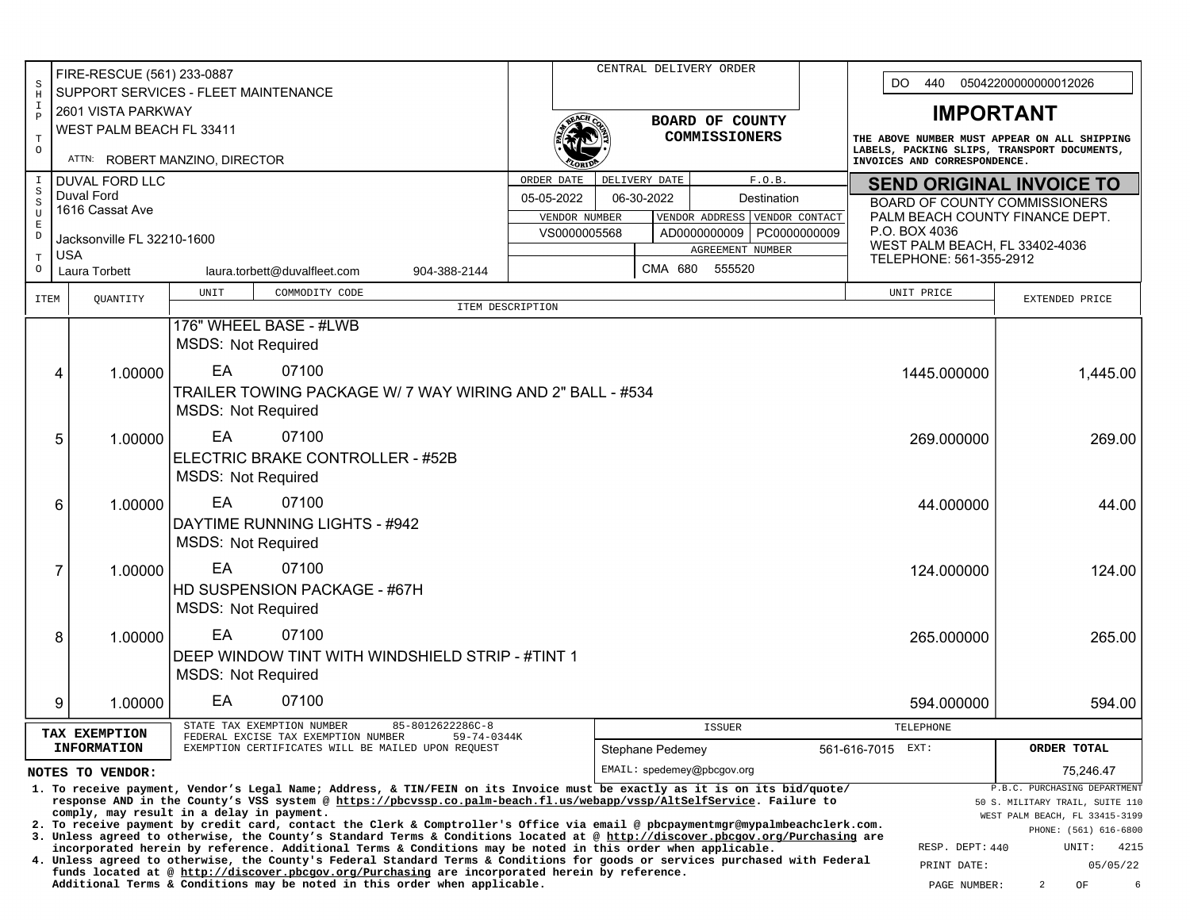|                              | FIRE-RESCUE (561) 233-0887    |                                                                                                                                                                                                                                                   |                                  |  |                  | CENTRAL DELIVERY ORDER                          |                |                   |                                                                                                                             |                                                                 |  |  |
|------------------------------|-------------------------------|---------------------------------------------------------------------------------------------------------------------------------------------------------------------------------------------------------------------------------------------------|----------------------------------|--|------------------|-------------------------------------------------|----------------|-------------------|-----------------------------------------------------------------------------------------------------------------------------|-----------------------------------------------------------------|--|--|
| S<br>$\, {\rm H}$            |                               | SUPPORT SERVICES - FLEET MAINTENANCE                                                                                                                                                                                                              |                                  |  |                  |                                                 |                | DO.<br>440        | 05042200000000012026                                                                                                        |                                                                 |  |  |
| I<br>$\, {\bf P}$            | 2601 VISTA PARKWAY            |                                                                                                                                                                                                                                                   |                                  |  |                  |                                                 |                | <b>IMPORTANT</b>  |                                                                                                                             |                                                                 |  |  |
| $\mathbf T$                  | WEST PALM BEACH FL 33411      |                                                                                                                                                                                                                                                   | BOARD OF COUNTY<br>COMMISSIONERS |  |                  |                                                 |                |                   | THE ABOVE NUMBER MUST APPEAR ON ALL SHIPPING<br>LABELS, PACKING SLIPS, TRANSPORT DOCUMENTS,<br>INVOICES AND CORRESPONDENCE. |                                                                 |  |  |
| $\circ$                      |                               | ATTN: ROBERT MANZINO, DIRECTOR                                                                                                                                                                                                                    |                                  |  |                  |                                                 |                |                   |                                                                                                                             |                                                                 |  |  |
| $\mathbbm{1}$                | <b>DUVAL FORD LLC</b>         |                                                                                                                                                                                                                                                   | ORDER DATE                       |  | DELIVERY DATE    |                                                 | F.O.B.         |                   | <b>SEND ORIGINAL INVOICE TO</b>                                                                                             |                                                                 |  |  |
| $\, \mathbb{S} \,$<br>$\,$ S | Duval Ford<br>1616 Cassat Ave |                                                                                                                                                                                                                                                   | 05-05-2022                       |  | 06-30-2022       | Destination                                     |                |                   | <b>BOARD OF COUNTY COMMISSIONERS</b>                                                                                        |                                                                 |  |  |
| U<br>$\mathbf E$             |                               |                                                                                                                                                                                                                                                   | VENDOR NUMBER                    |  |                  | VENDOR ADDRESS                                  | VENDOR CONTACT |                   | PALM BEACH COUNTY FINANCE DEPT.<br>P.O. BOX 4036                                                                            |                                                                 |  |  |
| $\mathbb D$                  | Jacksonville FL 32210-1600    |                                                                                                                                                                                                                                                   | VS0000005568                     |  |                  | AD0000000009   PC0000000009<br>AGREEMENT NUMBER |                |                   | WEST PALM BEACH, FL 33402-4036                                                                                              |                                                                 |  |  |
| $\mathbf T$<br>$\circ$       | <b>USA</b><br>Laura Torbett   | 904-388-2144                                                                                                                                                                                                                                      |                                  |  | CMA 680          | 555520                                          |                |                   | TELEPHONE: 561-355-2912                                                                                                     |                                                                 |  |  |
|                              |                               | laura.torbett@duvalfleet.com                                                                                                                                                                                                                      |                                  |  |                  |                                                 |                |                   |                                                                                                                             |                                                                 |  |  |
| ITEM                         | QUANTITY                      | UNIT<br>COMMODITY CODE                                                                                                                                                                                                                            | ITEM DESCRIPTION                 |  |                  |                                                 |                |                   | UNIT PRICE                                                                                                                  | EXTENDED PRICE                                                  |  |  |
|                              |                               | 176" WHEEL BASE - #LWB                                                                                                                                                                                                                            |                                  |  |                  |                                                 |                |                   |                                                                                                                             |                                                                 |  |  |
|                              |                               | <b>MSDS: Not Required</b>                                                                                                                                                                                                                         |                                  |  |                  |                                                 |                |                   |                                                                                                                             |                                                                 |  |  |
|                              | 1.00000                       | EA<br>07100                                                                                                                                                                                                                                       |                                  |  |                  |                                                 |                |                   | 1445.000000                                                                                                                 |                                                                 |  |  |
|                              | 4                             | TRAILER TOWING PACKAGE W/ 7 WAY WIRING AND 2" BALL - #534                                                                                                                                                                                         |                                  |  |                  |                                                 |                |                   |                                                                                                                             | 1,445.00                                                        |  |  |
|                              |                               | <b>MSDS: Not Required</b>                                                                                                                                                                                                                         |                                  |  |                  |                                                 |                |                   |                                                                                                                             |                                                                 |  |  |
|                              |                               |                                                                                                                                                                                                                                                   |                                  |  |                  |                                                 |                |                   |                                                                                                                             |                                                                 |  |  |
|                              | 5<br>1.00000                  | EA<br>07100                                                                                                                                                                                                                                       |                                  |  |                  |                                                 |                |                   | 269.000000                                                                                                                  | 269.00                                                          |  |  |
|                              |                               | ELECTRIC BRAKE CONTROLLER - #52B                                                                                                                                                                                                                  |                                  |  |                  |                                                 |                |                   |                                                                                                                             |                                                                 |  |  |
|                              |                               | <b>MSDS: Not Required</b>                                                                                                                                                                                                                         |                                  |  |                  |                                                 |                |                   |                                                                                                                             |                                                                 |  |  |
|                              | 1.00000<br>6                  | EA<br>07100                                                                                                                                                                                                                                       |                                  |  |                  |                                                 |                |                   | 44.000000                                                                                                                   | 44.00                                                           |  |  |
|                              |                               | DAYTIME RUNNING LIGHTS - #942                                                                                                                                                                                                                     |                                  |  |                  |                                                 |                |                   |                                                                                                                             |                                                                 |  |  |
|                              |                               | <b>MSDS: Not Required</b>                                                                                                                                                                                                                         |                                  |  |                  |                                                 |                |                   |                                                                                                                             |                                                                 |  |  |
|                              | 7<br>1.00000                  | EA<br>07100                                                                                                                                                                                                                                       |                                  |  |                  |                                                 |                |                   | 124.000000                                                                                                                  | 124.00                                                          |  |  |
|                              |                               | HD SUSPENSION PACKAGE - #67H                                                                                                                                                                                                                      |                                  |  |                  |                                                 |                |                   |                                                                                                                             |                                                                 |  |  |
|                              |                               | <b>MSDS: Not Required</b>                                                                                                                                                                                                                         |                                  |  |                  |                                                 |                |                   |                                                                                                                             |                                                                 |  |  |
|                              |                               | EA<br>07100                                                                                                                                                                                                                                       |                                  |  |                  |                                                 |                |                   |                                                                                                                             |                                                                 |  |  |
|                              | 8<br>1.00000                  | DEEP WINDOW TINT WITH WINDSHIELD STRIP - #TINT 1                                                                                                                                                                                                  |                                  |  |                  |                                                 |                |                   | 265.000000                                                                                                                  | 265.00                                                          |  |  |
|                              |                               | <b>MSDS: Not Required</b>                                                                                                                                                                                                                         |                                  |  |                  |                                                 |                |                   |                                                                                                                             |                                                                 |  |  |
|                              |                               |                                                                                                                                                                                                                                                   |                                  |  |                  |                                                 |                |                   |                                                                                                                             |                                                                 |  |  |
|                              | 9<br>1.00000                  | EA<br>07100                                                                                                                                                                                                                                       |                                  |  |                  |                                                 |                |                   | 594.000000                                                                                                                  | 594.00                                                          |  |  |
|                              | TAX EXEMPTION                 | 85-8012622286C-8<br>STATE TAX EXEMPTION NUMBER<br>FEDERAL EXCISE TAX EXEMPTION NUMBER<br>59-74-0344K                                                                                                                                              |                                  |  |                  | <b>ISSUER</b>                                   |                |                   | TELEPHONE                                                                                                                   |                                                                 |  |  |
|                              | <b>INFORMATION</b>            | EXEMPTION CERTIFICATES WILL BE MAILED UPON REQUEST                                                                                                                                                                                                |                                  |  | Stephane Pedemey |                                                 |                | 561-616-7015 EXT: |                                                                                                                             | ORDER TOTAL                                                     |  |  |
|                              | NOTES TO VENDOR:              |                                                                                                                                                                                                                                                   |                                  |  |                  | EMAIL: spedemey@pbcgov.org                      |                |                   |                                                                                                                             | 75,246.47                                                       |  |  |
|                              |                               | 1. To receive payment, Vendor's Legal Name; Address, & TIN/FEIN on its Invoice must be exactly as it is on its bid/quote/<br>response AND in the County's VSS system @ https://pbcvssp.co.palm-beach.fl.us/webapp/vssp/AltSelfService. Failure to |                                  |  |                  |                                                 |                |                   |                                                                                                                             | P.B.C. PURCHASING DEPARTMENT<br>50 S. MILITARY TRAIL, SUITE 110 |  |  |
|                              |                               | comply, may result in a delay in payment.<br>2. To receive payment by credit card, contact the Clerk & Comptroller's Office via email @ pbcpaymentmgr@mypalmbeachclerk.com.                                                                       |                                  |  |                  |                                                 |                |                   |                                                                                                                             | WEST PALM BEACH, FL 33415-3199                                  |  |  |
|                              |                               | 3. Unless agreed to otherwise, the County's Standard Terms & Conditions located at @ http://discover.pbcgov.org/Purchasing are                                                                                                                    |                                  |  |                  |                                                 |                |                   | RESP. DEPT: 440                                                                                                             | PHONE: (561) 616-6800<br>4215<br>UNIT:                          |  |  |
|                              |                               | incorporated herein by reference. Additional Terms & Conditions may be noted in this order when applicable.<br>4. Unless agreed to otherwise, the County's Federal Standard Terms & Conditions for goods or services purchased with Federal       |                                  |  |                  |                                                 |                |                   | PRINT DATE:                                                                                                                 | 05/05/22                                                        |  |  |
|                              |                               | funds located at @ http://discover.pbcgov.org/Purchasing are incorporated herein by reference.<br>Additional Terms & Conditions may be noted in this order when applicable.                                                                       |                                  |  |                  |                                                 |                |                   | PAGE NUMBER:                                                                                                                | 6<br>$\overline{2}$<br>OF                                       |  |  |
|                              |                               |                                                                                                                                                                                                                                                   |                                  |  |                  |                                                 |                |                   |                                                                                                                             |                                                                 |  |  |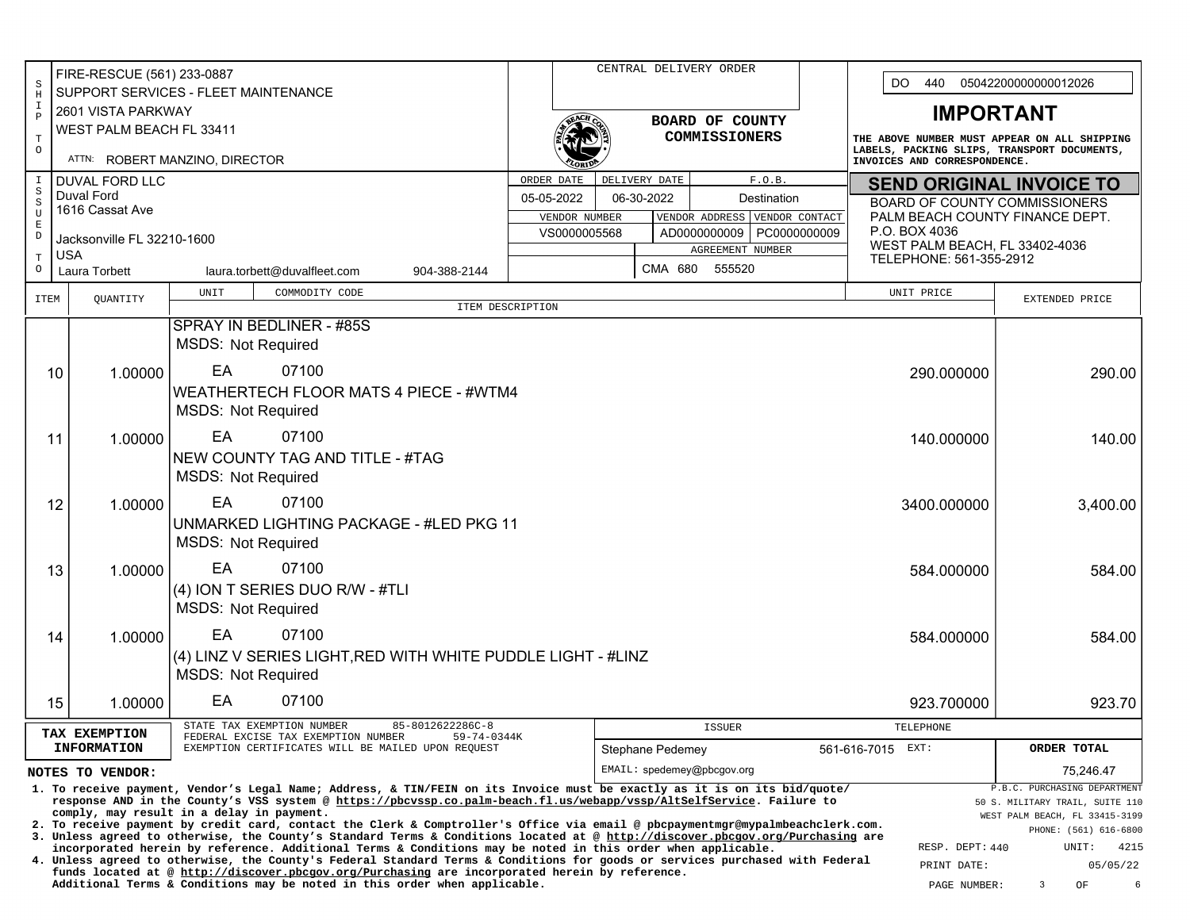| $\rm S$                                                                                                                                                                                                                                           | FIRE-RESCUE (561) 233-0887  |                                                                                                                                                                                                                                               |                  |               | CENTRAL DELIVERY ORDER     |                                 | DO.<br>440<br>05042200000000012026                                                          |                                                 |                                                                 |  |  |
|---------------------------------------------------------------------------------------------------------------------------------------------------------------------------------------------------------------------------------------------------|-----------------------------|-----------------------------------------------------------------------------------------------------------------------------------------------------------------------------------------------------------------------------------------------|------------------|---------------|----------------------------|---------------------------------|---------------------------------------------------------------------------------------------|-------------------------------------------------|-----------------------------------------------------------------|--|--|
| $\, {\rm H}$<br>$\mathbbm{1}$                                                                                                                                                                                                                     | 2601 VISTA PARKWAY          | SUPPORT SERVICES - FLEET MAINTENANCE                                                                                                                                                                                                          |                  |               |                            |                                 |                                                                                             |                                                 |                                                                 |  |  |
| $\, {\bf P}$                                                                                                                                                                                                                                      | WEST PALM BEACH FL 33411    |                                                                                                                                                                                                                                               |                  |               |                            | BOARD OF COUNTY                 |                                                                                             | <b>IMPORTANT</b>                                |                                                                 |  |  |
| $\mathbb T$<br>$\circ$                                                                                                                                                                                                                            |                             |                                                                                                                                                                                                                                               |                  |               |                            | <b>COMMISSIONERS</b>            | THE ABOVE NUMBER MUST APPEAR ON ALL SHIPPING<br>LABELS, PACKING SLIPS, TRANSPORT DOCUMENTS, |                                                 |                                                                 |  |  |
| $\mathbf I$                                                                                                                                                                                                                                       | <b>DUVAL FORD LLC</b>       | ATTN: ROBERT MANZINO, DIRECTOR                                                                                                                                                                                                                | ORDER DATE       |               | DELIVERY DATE              | F.O.B.                          |                                                                                             | INVOICES AND CORRESPONDENCE.                    |                                                                 |  |  |
| $\rm S$<br>$\,$ $\,$ $\,$                                                                                                                                                                                                                         | Duval Ford                  |                                                                                                                                                                                                                                               | 05-05-2022       |               | 06-30-2022                 | Destination                     | <b>SEND ORIGINAL INVOICE TO</b><br><b>BOARD OF COUNTY COMMISSIONERS</b>                     |                                                 |                                                                 |  |  |
| $\mathbf U$<br>$\mathbf E$                                                                                                                                                                                                                        | 1616 Cassat Ave             |                                                                                                                                                                                                                                               |                  | VENDOR NUMBER |                            | VENDOR ADDRESS                  | VENDOR CONTACT                                                                              | PALM BEACH COUNTY FINANCE DEPT.                 |                                                                 |  |  |
| $\mathbb D$                                                                                                                                                                                                                                       | Jacksonville FL 32210-1600  |                                                                                                                                                                                                                                               |                  | VS0000005568  |                            | AD000000009<br>AGREEMENT NUMBER | PC0000000009                                                                                | P.O. BOX 4036<br>WEST PALM BEACH, FL 33402-4036 |                                                                 |  |  |
| $\mathbf T$<br>$\circ$                                                                                                                                                                                                                            | <b>USA</b><br>Laura Torbett | laura.torbett@duvalfleet.com<br>904-388-2144                                                                                                                                                                                                  |                  |               | CMA 680                    | 555520                          |                                                                                             | TELEPHONE: 561-355-2912                         |                                                                 |  |  |
|                                                                                                                                                                                                                                                   |                             | COMMODITY CODE<br>UNIT                                                                                                                                                                                                                        |                  |               |                            |                                 |                                                                                             | UNIT PRICE                                      |                                                                 |  |  |
| <b>ITEM</b>                                                                                                                                                                                                                                       | QUANTITY                    |                                                                                                                                                                                                                                               | ITEM DESCRIPTION |               |                            |                                 |                                                                                             |                                                 | EXTENDED PRICE                                                  |  |  |
|                                                                                                                                                                                                                                                   |                             | SPRAY IN BEDLINER - #85S<br><b>MSDS: Not Required</b>                                                                                                                                                                                         |                  |               |                            |                                 |                                                                                             |                                                 |                                                                 |  |  |
|                                                                                                                                                                                                                                                   | 1.00000<br>10               | EA<br>07100                                                                                                                                                                                                                                   |                  |               |                            |                                 |                                                                                             | 290.000000                                      | 290.00                                                          |  |  |
|                                                                                                                                                                                                                                                   |                             | WEATHERTECH FLOOR MATS 4 PIECE - #WTM4                                                                                                                                                                                                        |                  |               |                            |                                 |                                                                                             |                                                 |                                                                 |  |  |
|                                                                                                                                                                                                                                                   |                             | <b>MSDS: Not Required</b>                                                                                                                                                                                                                     |                  |               |                            |                                 |                                                                                             |                                                 |                                                                 |  |  |
|                                                                                                                                                                                                                                                   | 1.00000<br>11               | EA<br>07100                                                                                                                                                                                                                                   |                  |               |                            |                                 |                                                                                             | 140.000000                                      | 140.00                                                          |  |  |
|                                                                                                                                                                                                                                                   |                             | NEW COUNTY TAG AND TITLE - #TAG                                                                                                                                                                                                               |                  |               |                            |                                 |                                                                                             |                                                 |                                                                 |  |  |
|                                                                                                                                                                                                                                                   |                             | <b>MSDS: Not Required</b>                                                                                                                                                                                                                     |                  |               |                            |                                 |                                                                                             |                                                 |                                                                 |  |  |
|                                                                                                                                                                                                                                                   | 12<br>1.00000               | EA<br>07100                                                                                                                                                                                                                                   |                  |               |                            |                                 |                                                                                             | 3400.000000                                     | 3,400.00                                                        |  |  |
|                                                                                                                                                                                                                                                   |                             | <b>UNMARKED LIGHTING PACKAGE - #LED PKG 11</b>                                                                                                                                                                                                |                  |               |                            |                                 |                                                                                             |                                                 |                                                                 |  |  |
|                                                                                                                                                                                                                                                   |                             | <b>MSDS: Not Required</b>                                                                                                                                                                                                                     |                  |               |                            |                                 |                                                                                             |                                                 |                                                                 |  |  |
|                                                                                                                                                                                                                                                   | 13<br>1.00000               | EA<br>07100                                                                                                                                                                                                                                   |                  |               |                            |                                 |                                                                                             | 584.000000                                      | 584.00                                                          |  |  |
|                                                                                                                                                                                                                                                   |                             | (4) ION T SERIES DUO R/W - #TLI<br><b>MSDS: Not Required</b>                                                                                                                                                                                  |                  |               |                            |                                 |                                                                                             |                                                 |                                                                 |  |  |
|                                                                                                                                                                                                                                                   |                             |                                                                                                                                                                                                                                               |                  |               |                            |                                 |                                                                                             |                                                 |                                                                 |  |  |
|                                                                                                                                                                                                                                                   | 1.00000<br>14               | EA<br>07100                                                                                                                                                                                                                                   |                  |               |                            |                                 |                                                                                             | 584.000000                                      | 584.00                                                          |  |  |
|                                                                                                                                                                                                                                                   |                             | (4) LINZ V SERIES LIGHT, RED WITH WHITE PUDDLE LIGHT - #LINZ<br><b>MSDS: Not Required</b>                                                                                                                                                     |                  |               |                            |                                 |                                                                                             |                                                 |                                                                 |  |  |
|                                                                                                                                                                                                                                                   | 15<br>1.00000               | EA<br>07100                                                                                                                                                                                                                                   |                  |               |                            |                                 |                                                                                             | 923.700000                                      | 923.70                                                          |  |  |
|                                                                                                                                                                                                                                                   | TAX EXEMPTION               | 85-8012622286C-8<br>STATE TAX EXEMPTION NUMBER                                                                                                                                                                                                |                  |               |                            | <b>ISSUER</b>                   |                                                                                             | TELEPHONE                                       |                                                                 |  |  |
|                                                                                                                                                                                                                                                   | <b>INFORMATION</b>          | FEDERAL EXCISE TAX EXEMPTION NUMBER<br>59-74-0344K<br>EXEMPTION CERTIFICATES WILL BE MAILED UPON REQUEST                                                                                                                                      |                  |               | Stephane Pedemey           |                                 |                                                                                             | 561-616-7015<br>EXT:                            | ORDER TOTAL                                                     |  |  |
|                                                                                                                                                                                                                                                   | NOTES TO VENDOR:            |                                                                                                                                                                                                                                               |                  |               | EMAIL: spedemey@pbcgov.org |                                 |                                                                                             |                                                 | 75.246.47                                                       |  |  |
| 1. To receive payment, Vendor's Legal Name; Address, & TIN/FEIN on its Invoice must be exactly as it is on its bid/quote/<br>response AND in the County's VSS system @ https://pbcvssp.co.palm-beach.fl.us/webapp/vssp/AltSelfService. Failure to |                             |                                                                                                                                                                                                                                               |                  |               |                            |                                 |                                                                                             |                                                 | P.B.C. PURCHASING DEPARTMENT<br>50 S. MILITARY TRAIL, SUITE 110 |  |  |
|                                                                                                                                                                                                                                                   |                             | comply, may result in a delay in payment.<br>2. To receive payment by credit card, contact the Clerk & Comptroller's Office via email @ pbcpaymentmgr@mypalmbeachclerk.com.                                                                   |                  |               |                            |                                 |                                                                                             |                                                 | WEST PALM BEACH, FL 33415-3199                                  |  |  |
|                                                                                                                                                                                                                                                   |                             | 3. Unless agreed to otherwise, the County's Standard Terms & Conditions located at @ http://discover.pbcgov.org/Purchasing are<br>incorporated herein by reference. Additional Terms & Conditions may be noted in this order when applicable. |                  |               |                            |                                 |                                                                                             | RESP. DEPT: 440                                 | PHONE: (561) 616-6800<br>UNIT:<br>4215                          |  |  |
|                                                                                                                                                                                                                                                   |                             | 4. Unless agreed to otherwise, the County's Federal Standard Terms & Conditions for goods or services purchased with Federal<br>funds located at @ http://discover.pbcgov.org/Purchasing are incorporated herein by reference.                |                  |               |                            |                                 |                                                                                             | PRINT DATE:                                     | 05/05/22                                                        |  |  |
|                                                                                                                                                                                                                                                   |                             | Additional Terms & Conditions may be noted in this order when applicable.                                                                                                                                                                     |                  |               |                            |                                 |                                                                                             | PAGE NUMBER:                                    | 3<br>OF<br>6                                                    |  |  |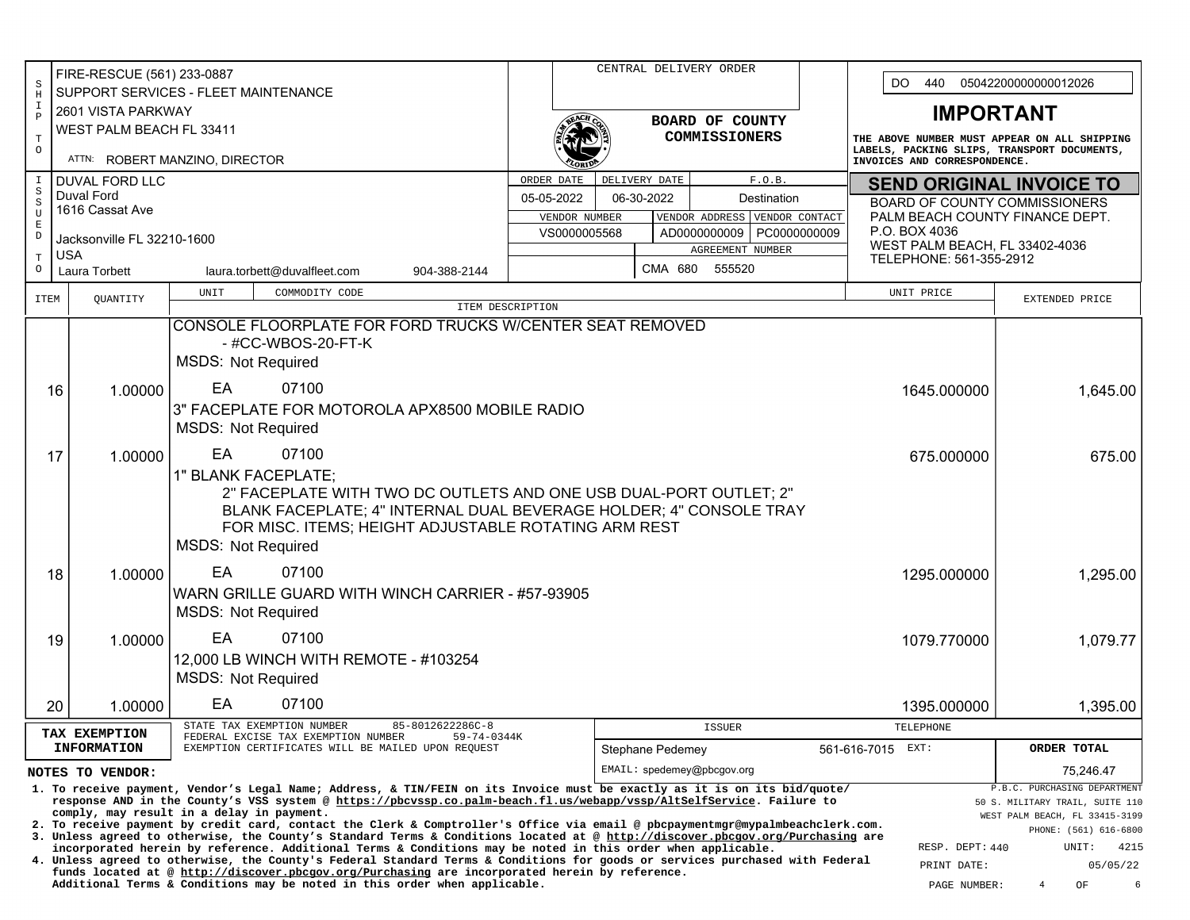|                                    | FIRE-RESCUE (561) 233-0887                                                                           |                                                                                                                                                                                                                                                                  |                  |                               |                  | CENTRAL DELIVERY ORDER                                          |                                                                                                                             |                                      |                                                                 |  |  |  |
|------------------------------------|------------------------------------------------------------------------------------------------------|------------------------------------------------------------------------------------------------------------------------------------------------------------------------------------------------------------------------------------------------------------------|------------------|-------------------------------|------------------|-----------------------------------------------------------------|-----------------------------------------------------------------------------------------------------------------------------|--------------------------------------|-----------------------------------------------------------------|--|--|--|
| $\rm S$<br>$\rm H$                 |                                                                                                      | SUPPORT SERVICES - FLEET MAINTENANCE                                                                                                                                                                                                                             |                  |                               |                  |                                                                 |                                                                                                                             | 440<br>DO.                           | 05042200000000012026                                            |  |  |  |
| $\mathbf I$<br>$\, {\bf P}$        | 2601 VISTA PARKWAY                                                                                   |                                                                                                                                                                                                                                                                  |                  |                               |                  | <b>BOARD OF COUNTY</b>                                          |                                                                                                                             | <b>IMPORTANT</b>                     |                                                                 |  |  |  |
| $\mathbf T$                        | WEST PALM BEACH FL 33411                                                                             |                                                                                                                                                                                                                                                                  |                  |                               |                  | <b>COMMISSIONERS</b>                                            | THE ABOVE NUMBER MUST APPEAR ON ALL SHIPPING<br>LABELS, PACKING SLIPS, TRANSPORT DOCUMENTS,<br>INVOICES AND CORRESPONDENCE. |                                      |                                                                 |  |  |  |
| $\circ$                            |                                                                                                      | ATTN: ROBERT MANZINO, DIRECTOR                                                                                                                                                                                                                                   |                  |                               |                  |                                                                 |                                                                                                                             |                                      |                                                                 |  |  |  |
| $\mathbbm{1}$                      | <b>DUVAL FORD LLC</b>                                                                                |                                                                                                                                                                                                                                                                  | ORDER DATE       |                               | DELIVERY DATE    | F.O.B.                                                          | <b>SEND ORIGINAL INVOICE TO</b>                                                                                             |                                      |                                                                 |  |  |  |
| $_{\rm S}^{\rm S}$<br>$\mathtt{U}$ | Duval Ford<br>1616 Cassat Ave                                                                        |                                                                                                                                                                                                                                                                  | 05-05-2022       |                               | 06-30-2022       | Destination                                                     |                                                                                                                             | <b>BOARD OF COUNTY COMMISSIONERS</b> |                                                                 |  |  |  |
| $\mathbf E$                        |                                                                                                      |                                                                                                                                                                                                                                                                  |                  | VENDOR NUMBER<br>VS0000005568 |                  | VENDOR ADDRESS<br>VENDOR CONTACT<br>AD0000000009   PC0000000009 | P.O. BOX 4036                                                                                                               | PALM BEACH COUNTY FINANCE DEPT.      |                                                                 |  |  |  |
| $\mathbb D$                        | Jacksonville FL 32210-1600                                                                           |                                                                                                                                                                                                                                                                  |                  |                               |                  | AGREEMENT NUMBER                                                |                                                                                                                             | WEST PALM BEACH, FL 33402-4036       |                                                                 |  |  |  |
| $\mathbf T$<br>$\circ$             | <b>USA</b><br><b>Laura Torbett</b>                                                                   | laura.torbett@duvalfleet.com<br>904-388-2144                                                                                                                                                                                                                     |                  |                               | CMA 680          | 555520                                                          |                                                                                                                             | TELEPHONE: 561-355-2912              |                                                                 |  |  |  |
| <b>ITEM</b>                        | QUANTITY                                                                                             | COMMODITY CODE<br>UNIT                                                                                                                                                                                                                                           |                  |                               |                  |                                                                 |                                                                                                                             | UNIT PRICE                           | EXTENDED PRICE                                                  |  |  |  |
|                                    |                                                                                                      | CONSOLE FLOORPLATE FOR FORD TRUCKS W/CENTER SEAT REMOVED                                                                                                                                                                                                         | ITEM DESCRIPTION |                               |                  |                                                                 |                                                                                                                             |                                      |                                                                 |  |  |  |
|                                    |                                                                                                      | - #CC-WBOS-20-FT-K                                                                                                                                                                                                                                               |                  |                               |                  |                                                                 |                                                                                                                             |                                      |                                                                 |  |  |  |
|                                    |                                                                                                      | <b>MSDS: Not Required</b>                                                                                                                                                                                                                                        |                  |                               |                  |                                                                 |                                                                                                                             |                                      |                                                                 |  |  |  |
|                                    | 1.00000<br>16                                                                                        | EA<br>07100                                                                                                                                                                                                                                                      |                  |                               |                  |                                                                 |                                                                                                                             | 1645.000000                          | 1,645.00                                                        |  |  |  |
|                                    |                                                                                                      | 3" FACEPLATE FOR MOTOROLA APX8500 MOBILE RADIO                                                                                                                                                                                                                   |                  |                               |                  |                                                                 |                                                                                                                             |                                      |                                                                 |  |  |  |
|                                    |                                                                                                      | <b>MSDS: Not Required</b>                                                                                                                                                                                                                                        |                  |                               |                  |                                                                 |                                                                                                                             |                                      |                                                                 |  |  |  |
|                                    |                                                                                                      | EA                                                                                                                                                                                                                                                               |                  |                               |                  |                                                                 |                                                                                                                             | 675.000000                           | 675.00                                                          |  |  |  |
|                                    | 1.00000<br>17                                                                                        |                                                                                                                                                                                                                                                                  | 07100            |                               |                  |                                                                 |                                                                                                                             |                                      |                                                                 |  |  |  |
|                                    |                                                                                                      | 1" BLANK FACEPLATE;<br>2" FACEPLATE WITH TWO DC OUTLETS AND ONE USB DUAL-PORT OUTLET; 2"                                                                                                                                                                         |                  |                               |                  |                                                                 |                                                                                                                             |                                      |                                                                 |  |  |  |
|                                    |                                                                                                      | BLANK FACEPLATE; 4" INTERNAL DUAL BEVERAGE HOLDER; 4" CONSOLE TRAY                                                                                                                                                                                               |                  |                               |                  |                                                                 |                                                                                                                             |                                      |                                                                 |  |  |  |
|                                    |                                                                                                      | FOR MISC. ITEMS; HEIGHT ADJUSTABLE ROTATING ARM REST                                                                                                                                                                                                             |                  |                               |                  |                                                                 |                                                                                                                             |                                      |                                                                 |  |  |  |
|                                    |                                                                                                      | <b>MSDS: Not Required</b>                                                                                                                                                                                                                                        |                  |                               |                  |                                                                 |                                                                                                                             |                                      |                                                                 |  |  |  |
|                                    | 1.00000<br>18                                                                                        | EA<br>07100                                                                                                                                                                                                                                                      |                  |                               |                  |                                                                 |                                                                                                                             | 1295.000000                          | 1,295.00                                                        |  |  |  |
|                                    |                                                                                                      | WARN GRILLE GUARD WITH WINCH CARRIER - #57-93905                                                                                                                                                                                                                 |                  |                               |                  |                                                                 |                                                                                                                             |                                      |                                                                 |  |  |  |
|                                    |                                                                                                      | <b>MSDS: Not Required</b>                                                                                                                                                                                                                                        |                  |                               |                  |                                                                 |                                                                                                                             |                                      |                                                                 |  |  |  |
|                                    | 1.00000<br>19                                                                                        | EA<br>07100                                                                                                                                                                                                                                                      |                  |                               |                  |                                                                 |                                                                                                                             | 1079.770000                          | 1,079.77                                                        |  |  |  |
|                                    |                                                                                                      | 12,000 LB WINCH WITH REMOTE - #103254                                                                                                                                                                                                                            |                  |                               |                  |                                                                 |                                                                                                                             |                                      |                                                                 |  |  |  |
|                                    |                                                                                                      | <b>MSDS: Not Required</b>                                                                                                                                                                                                                                        |                  |                               |                  |                                                                 |                                                                                                                             |                                      |                                                                 |  |  |  |
|                                    | 20<br>1.00000                                                                                        | EA<br>07100                                                                                                                                                                                                                                                      |                  |                               |                  |                                                                 |                                                                                                                             | 1395.000000                          | 1,395.00                                                        |  |  |  |
|                                    | TAX EXEMPTION                                                                                        | STATE TAX EXEMPTION NUMBER<br>85-8012622286C-8<br>FEDERAL EXCISE TAX EXEMPTION NUMBER<br>59-74-0344K                                                                                                                                                             |                  |                               |                  | <b>ISSUER</b>                                                   |                                                                                                                             | TELEPHONE                            |                                                                 |  |  |  |
|                                    | <b>INFORMATION</b>                                                                                   | EXEMPTION CERTIFICATES WILL BE MAILED UPON REQUEST                                                                                                                                                                                                               |                  |                               | Stephane Pedemey |                                                                 |                                                                                                                             | 561-616-7015 EXT:                    | ORDER TOTAL                                                     |  |  |  |
|                                    | NOTES TO VENDOR:                                                                                     |                                                                                                                                                                                                                                                                  |                  |                               |                  | EMAIL: spedemey@pbcgov.org                                      |                                                                                                                             |                                      | 75,246.47                                                       |  |  |  |
|                                    |                                                                                                      | 1. To receive payment, Vendor's Legal Name; Address, & TIN/FEIN on its Invoice must be exactly as it is on its bid/quote/<br>response AND in the County's VSS system @ https://pbcvssp.co.palm-beach.fl.us/webapp/vssp/AltSelfService. Failure to                |                  |                               |                  |                                                                 |                                                                                                                             |                                      | P.B.C. PURCHASING DEPARTMENT<br>50 S. MILITARY TRAIL, SUITE 110 |  |  |  |
|                                    |                                                                                                      | comply, may result in a delay in payment.                                                                                                                                                                                                                        |                  |                               |                  |                                                                 |                                                                                                                             |                                      | WEST PALM BEACH, FL 33415-3199                                  |  |  |  |
|                                    |                                                                                                      | 2. To receive payment by credit card, contact the Clerk & Comptroller's Office via email @ pbcpaymentmgr@mypalmbeachclerk.com.<br>3. Unless agreed to otherwise, the County's Standard Terms & Conditions located at @ http://discover.pbcgov.org/Purchasing are |                  |                               |                  |                                                                 |                                                                                                                             |                                      | PHONE: (561) 616-6800                                           |  |  |  |
|                                    |                                                                                                      | incorporated herein by reference. Additional Terms & Conditions may be noted in this order when applicable.<br>4. Unless agreed to otherwise, the County's Federal Standard Terms & Conditions for goods or services purchased with Federal                      |                  |                               |                  |                                                                 |                                                                                                                             | RESP. DEPT: 440<br>PRINT DATE:       | 4215<br>UNIT:<br>05/05/22                                       |  |  |  |
|                                    |                                                                                                      | funds located at @ http://discover.pbcgov.org/Purchasing are incorporated herein by reference.                                                                                                                                                                   |                  |                               |                  |                                                                 |                                                                                                                             |                                      | 6                                                               |  |  |  |
|                                    | Additional Terms & Conditions may be noted in this order when applicable.<br>OF<br>PAGE NUMBER:<br>4 |                                                                                                                                                                                                                                                                  |                  |                               |                  |                                                                 |                                                                                                                             |                                      |                                                                 |  |  |  |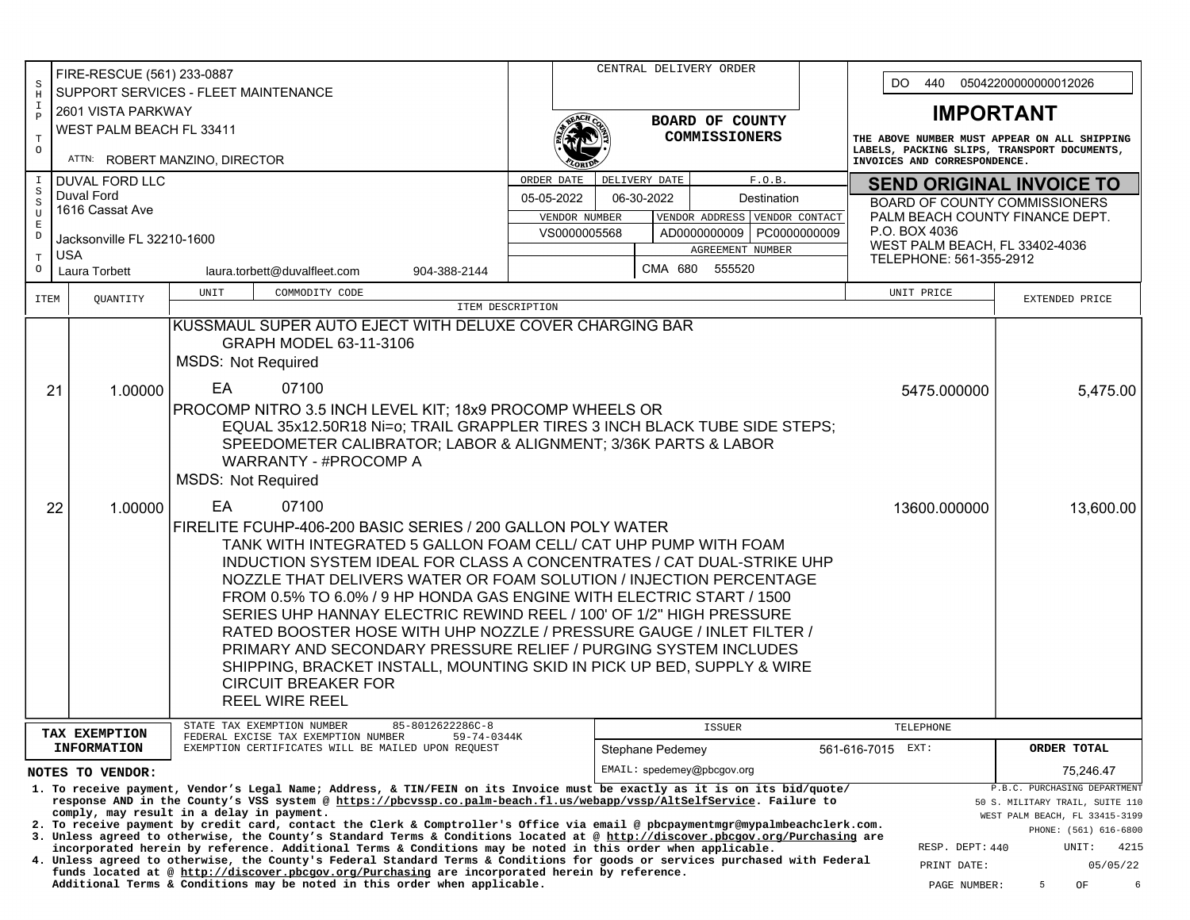|                                                                                                                                                                                                                                                                                                     | FIRE-RESCUE (561) 233-0887<br>$\mbox{\bf S}$               |                       |                           |                                                                                                                                          |                                 |                 |                                                                                                                                                                                                                                             | CENTRAL DELIVERY ORDER                                                        |                  |                            |              |  |                                                                             | DO.<br>05042200000000012026<br>440               |                                |  |                                      |                                                                 |
|-----------------------------------------------------------------------------------------------------------------------------------------------------------------------------------------------------------------------------------------------------------------------------------------------------|------------------------------------------------------------|-----------------------|---------------------------|------------------------------------------------------------------------------------------------------------------------------------------|---------------------------------|-----------------|---------------------------------------------------------------------------------------------------------------------------------------------------------------------------------------------------------------------------------------------|-------------------------------------------------------------------------------|------------------|----------------------------|--------------|--|-----------------------------------------------------------------------------|--------------------------------------------------|--------------------------------|--|--------------------------------------|-----------------------------------------------------------------|
| $\rm H$                                                                                                                                                                                                                                                                                             | SUPPORT SERVICES - FLEET MAINTENANCE<br>2601 VISTA PARKWAY |                       |                           |                                                                                                                                          |                                 |                 |                                                                                                                                                                                                                                             |                                                                               |                  |                            |              |  |                                                                             |                                                  |                                |  |                                      |                                                                 |
| $\mathbbm{1}$<br>$\, {\bf P}$                                                                                                                                                                                                                                                                       |                                                            |                       |                           |                                                                                                                                          |                                 | BOARD OF COUNTY |                                                                                                                                                                                                                                             |                                                                               |                  |                            |              |  | <b>IMPORTANT</b>                                                            |                                                  |                                |  |                                      |                                                                 |
| $\mathbf T$                                                                                                                                                                                                                                                                                         | WEST PALM BEACH FL 33411<br>ATTN: ROBERT MANZINO, DIRECTOR |                       |                           |                                                                                                                                          |                                 |                 |                                                                                                                                                                                                                                             |                                                                               |                  | COMMISSIONERS              |              |  |                                                                             | THE ABOVE NUMBER MUST APPEAR ON ALL SHIPPING     |                                |  |                                      |                                                                 |
| $\circ$                                                                                                                                                                                                                                                                                             |                                                            |                       |                           |                                                                                                                                          |                                 |                 |                                                                                                                                                                                                                                             |                                                                               |                  |                            |              |  | LABELS, PACKING SLIPS, TRANSPORT DOCUMENTS,<br>INVOICES AND CORRESPONDENCE. |                                                  |                                |  |                                      |                                                                 |
| I<br>$\mbox{S}$                                                                                                                                                                                                                                                                                     |                                                            | <b>DUVAL FORD LLC</b> |                           |                                                                                                                                          |                                 |                 |                                                                                                                                                                                                                                             |                                                                               | DELIVERY DATE    |                            | F.O.B.       |  |                                                                             | <b>SEND ORIGINAL INVOICE TO</b>                  |                                |  |                                      |                                                                 |
| $\rm S$                                                                                                                                                                                                                                                                                             | Duval Ford<br>1616 Cassat Ave                              |                       |                           |                                                                                                                                          |                                 |                 |                                                                                                                                                                                                                                             | 05-05-2022<br>06-30-2022<br>Destination                                       |                  |                            |              |  |                                                                             |                                                  |                                |  | <b>BOARD OF COUNTY COMMISSIONERS</b> |                                                                 |
| $\mathtt{U}$<br>$\mathbf E$                                                                                                                                                                                                                                                                         |                                                            |                       |                           |                                                                                                                                          |                                 |                 | VENDOR NUMBER                                                                                                                                                                                                                               | VENDOR ADDRESS VENDOR CONTACT<br>VS0000005568<br>AD0000000009<br>PC0000000009 |                  |                            |              |  |                                                                             | PALM BEACH COUNTY FINANCE DEPT.<br>P.O. BOX 4036 |                                |  |                                      |                                                                 |
| $\mathbb D$                                                                                                                                                                                                                                                                                         | Jacksonville FL 32210-1600<br><b>USA</b>                   |                       |                           |                                                                                                                                          |                                 |                 |                                                                                                                                                                                                                                             | AGREEMENT NUMBER                                                              |                  |                            |              |  |                                                                             |                                                  | WEST PALM BEACH, FL 33402-4036 |  |                                      |                                                                 |
| $\mathbf T$<br>$\circ$                                                                                                                                                                                                                                                                              | Laura Torbett                                              |                       |                           | laura.torbett@duvalfleet.com                                                                                                             | 904-388-2144                    |                 |                                                                                                                                                                                                                                             |                                                                               |                  | CMA 680 555520             |              |  |                                                                             |                                                  | TELEPHONE: 561-355-2912        |  |                                      |                                                                 |
| <b>ITEM</b>                                                                                                                                                                                                                                                                                         | QUANTITY                                                   |                       | UNIT                      | COMMODITY CODE                                                                                                                           |                                 |                 |                                                                                                                                                                                                                                             |                                                                               |                  |                            |              |  |                                                                             |                                                  | UNIT PRICE                     |  | EXTENDED PRICE                       |                                                                 |
|                                                                                                                                                                                                                                                                                                     |                                                            |                       |                           |                                                                                                                                          | ITEM DESCRIPTION                |                 |                                                                                                                                                                                                                                             |                                                                               |                  |                            |              |  |                                                                             |                                                  |                                |  |                                      |                                                                 |
|                                                                                                                                                                                                                                                                                                     |                                                            |                       |                           | KUSSMAUL SUPER AUTO EJECT WITH DELUXE COVER CHARGING BAR<br>GRAPH MODEL 63-11-3106                                                       |                                 |                 |                                                                                                                                                                                                                                             |                                                                               |                  |                            |              |  |                                                                             |                                                  |                                |  |                                      |                                                                 |
|                                                                                                                                                                                                                                                                                                     |                                                            |                       | <b>MSDS: Not Required</b> |                                                                                                                                          |                                 |                 |                                                                                                                                                                                                                                             |                                                                               |                  |                            |              |  |                                                                             |                                                  |                                |  |                                      |                                                                 |
|                                                                                                                                                                                                                                                                                                     |                                                            |                       |                           | 07100                                                                                                                                    |                                 |                 |                                                                                                                                                                                                                                             |                                                                               |                  |                            |              |  |                                                                             |                                                  |                                |  |                                      |                                                                 |
|                                                                                                                                                                                                                                                                                                     | 21<br>1.00000                                              |                       | EA                        | PROCOMP NITRO 3.5 INCH LEVEL KIT; 18x9 PROCOMP WHEELS OR                                                                                 |                                 |                 |                                                                                                                                                                                                                                             |                                                                               |                  |                            |              |  |                                                                             |                                                  | 5475.000000                    |  |                                      | 5,475.00                                                        |
|                                                                                                                                                                                                                                                                                                     |                                                            |                       |                           | EQUAL 35x12.50R18 Ni=0; TRAIL GRAPPLER TIRES 3 INCH BLACK TUBE SIDE STEPS;                                                               |                                 |                 |                                                                                                                                                                                                                                             |                                                                               |                  |                            |              |  |                                                                             |                                                  |                                |  |                                      |                                                                 |
|                                                                                                                                                                                                                                                                                                     |                                                            |                       |                           | SPEEDOMETER CALIBRATOR; LABOR & ALIGNMENT; 3/36K PARTS & LABOR                                                                           |                                 |                 |                                                                                                                                                                                                                                             |                                                                               |                  |                            |              |  |                                                                             |                                                  |                                |  |                                      |                                                                 |
|                                                                                                                                                                                                                                                                                                     |                                                            |                       |                           | WARRANTY - #PROCOMP A                                                                                                                    |                                 |                 |                                                                                                                                                                                                                                             |                                                                               |                  |                            |              |  |                                                                             |                                                  |                                |  |                                      |                                                                 |
|                                                                                                                                                                                                                                                                                                     |                                                            |                       | <b>MSDS: Not Required</b> |                                                                                                                                          |                                 |                 |                                                                                                                                                                                                                                             |                                                                               |                  |                            |              |  |                                                                             |                                                  |                                |  |                                      |                                                                 |
|                                                                                                                                                                                                                                                                                                     | 22<br>1.00000                                              |                       | EA                        | 07100                                                                                                                                    |                                 |                 |                                                                                                                                                                                                                                             |                                                                               |                  |                            |              |  |                                                                             |                                                  | 13600.000000                   |  |                                      | 13,600.00                                                       |
|                                                                                                                                                                                                                                                                                                     |                                                            |                       |                           | FIRELITE FCUHP-406-200 BASIC SERIES / 200 GALLON POLY WATER                                                                              |                                 |                 |                                                                                                                                                                                                                                             |                                                                               |                  |                            |              |  |                                                                             |                                                  |                                |  |                                      |                                                                 |
|                                                                                                                                                                                                                                                                                                     |                                                            |                       |                           | TANK WITH INTEGRATED 5 GALLON FOAM CELL/ CAT UHP PUMP WITH FOAM<br>INDUCTION SYSTEM IDEAL FOR CLASS A CONCENTRATES / CAT DUAL-STRIKE UHP |                                 |                 |                                                                                                                                                                                                                                             |                                                                               |                  |                            |              |  |                                                                             |                                                  |                                |  |                                      |                                                                 |
|                                                                                                                                                                                                                                                                                                     |                                                            |                       |                           | NOZZLE THAT DELIVERS WATER OR FOAM SOLUTION / INJECTION PERCENTAGE                                                                       |                                 |                 |                                                                                                                                                                                                                                             |                                                                               |                  |                            |              |  |                                                                             |                                                  |                                |  |                                      |                                                                 |
|                                                                                                                                                                                                                                                                                                     |                                                            |                       |                           | FROM 0.5% TO 6.0% / 9 HP HONDA GAS ENGINE WITH ELECTRIC START / 1500                                                                     |                                 |                 |                                                                                                                                                                                                                                             |                                                                               |                  |                            |              |  |                                                                             |                                                  |                                |  |                                      |                                                                 |
|                                                                                                                                                                                                                                                                                                     |                                                            |                       |                           | SERIES UHP HANNAY ELECTRIC REWIND REEL / 100' OF 1/2" HIGH PRESSURE                                                                      |                                 |                 |                                                                                                                                                                                                                                             |                                                                               |                  |                            |              |  |                                                                             |                                                  |                                |  |                                      |                                                                 |
|                                                                                                                                                                                                                                                                                                     |                                                            |                       |                           | RATED BOOSTER HOSE WITH UHP NOZZLE / PRESSURE GAUGE / INLET FILTER /<br>PRIMARY AND SECONDARY PRESSURE RELIEF / PURGING SYSTEM INCLUDES  |                                 |                 |                                                                                                                                                                                                                                             |                                                                               |                  |                            |              |  |                                                                             |                                                  |                                |  |                                      |                                                                 |
|                                                                                                                                                                                                                                                                                                     |                                                            |                       |                           | SHIPPING, BRACKET INSTALL, MOUNTING SKID IN PICK UP BED, SUPPLY & WIRE                                                                   |                                 |                 |                                                                                                                                                                                                                                             |                                                                               |                  |                            |              |  |                                                                             |                                                  |                                |  |                                      |                                                                 |
|                                                                                                                                                                                                                                                                                                     |                                                            |                       |                           | <b>CIRCUIT BREAKER FOR</b>                                                                                                               |                                 |                 |                                                                                                                                                                                                                                             |                                                                               |                  |                            |              |  |                                                                             |                                                  |                                |  |                                      |                                                                 |
|                                                                                                                                                                                                                                                                                                     |                                                            |                       |                           | <b>REEL WIRE REEL</b>                                                                                                                    |                                 |                 |                                                                                                                                                                                                                                             |                                                                               |                  |                            |              |  |                                                                             |                                                  |                                |  |                                      |                                                                 |
|                                                                                                                                                                                                                                                                                                     | TAX EXEMPTION                                              |                       |                           | STATE TAX EXEMPTION NUMBER<br>FEDERAL EXCISE TAX EXEMPTION NUMBER                                                                        | 85-8012622286C-8<br>59-74-0344K |                 |                                                                                                                                                                                                                                             |                                                                               |                  | <b>ISSUER</b>              |              |  |                                                                             |                                                  | TELEPHONE                      |  |                                      |                                                                 |
|                                                                                                                                                                                                                                                                                                     | <b>INFORMATION</b>                                         |                       |                           | EXEMPTION CERTIFICATES WILL BE MAILED UPON REQUEST                                                                                       |                                 |                 |                                                                                                                                                                                                                                             |                                                                               | Stephane Pedemey |                            |              |  | 561-616-7015                                                                |                                                  | EXT:                           |  | ORDER TOTAL                          |                                                                 |
|                                                                                                                                                                                                                                                                                                     | NOTES TO VENDOR:                                           |                       |                           |                                                                                                                                          |                                 |                 |                                                                                                                                                                                                                                             |                                                                               |                  | EMAIL: spedemey@pbcqov.org |              |  |                                                                             |                                                  |                                |  |                                      | 75,246.47                                                       |
|                                                                                                                                                                                                                                                                                                     |                                                            |                       |                           | 1. To receive payment, Vendor's Legal Name; Address, & TIN/FEIN on its Invoice must be exactly as it is on its bid/quote/                |                                 |                 |                                                                                                                                                                                                                                             |                                                                               |                  |                            |              |  |                                                                             |                                                  |                                |  |                                      | P.B.C. PURCHASING DEPARTMENT<br>50 S. MILITARY TRAIL, SUITE 110 |
| response AND in the County's VSS system @ https://pbcvssp.co.palm-beach.fl.us/webapp/vssp/AltSelfService. Failure to<br>comply, may result in a delay in payment.<br>2. To receive payment by credit card, contact the Clerk & Comptroller's Office via email @ pbcpaymentmgr@mypalmbeachclerk.com. |                                                            |                       |                           |                                                                                                                                          |                                 |                 |                                                                                                                                                                                                                                             |                                                                               |                  |                            |              |  |                                                                             |                                                  |                                |  |                                      | WEST PALM BEACH, FL 33415-3199                                  |
|                                                                                                                                                                                                                                                                                                     |                                                            |                       |                           | 3. Unless agreed to otherwise, the County's Standard Terms & Conditions located at @ http://discover.pbcgov.org/Purchasing are           |                                 |                 |                                                                                                                                                                                                                                             |                                                                               |                  |                            |              |  |                                                                             |                                                  |                                |  |                                      | PHONE: (561) 616-6800<br>UNIT:<br>4215                          |
|                                                                                                                                                                                                                                                                                                     |                                                            |                       |                           |                                                                                                                                          |                                 |                 | incorporated herein by reference. Additional Terms & Conditions may be noted in this order when applicable.<br>4. Unless agreed to otherwise, the County's Federal Standard Terms & Conditions for goods or services purchased with Federal |                                                                               |                  |                            |              |  |                                                                             |                                                  | RESP. DEPT: 440<br>PRINT DATE: |  |                                      | 05/05/22                                                        |
| funds located at @ http://discover.pbcgov.org/Purchasing are incorporated herein by reference.<br>Additional Terms & Conditions may be noted in this order when applicable.                                                                                                                         |                                                            |                       |                           |                                                                                                                                          |                                 |                 |                                                                                                                                                                                                                                             |                                                                               |                  |                            | PAGE NUMBER: |  | 5                                                                           | 6<br>OF                                          |                                |  |                                      |                                                                 |